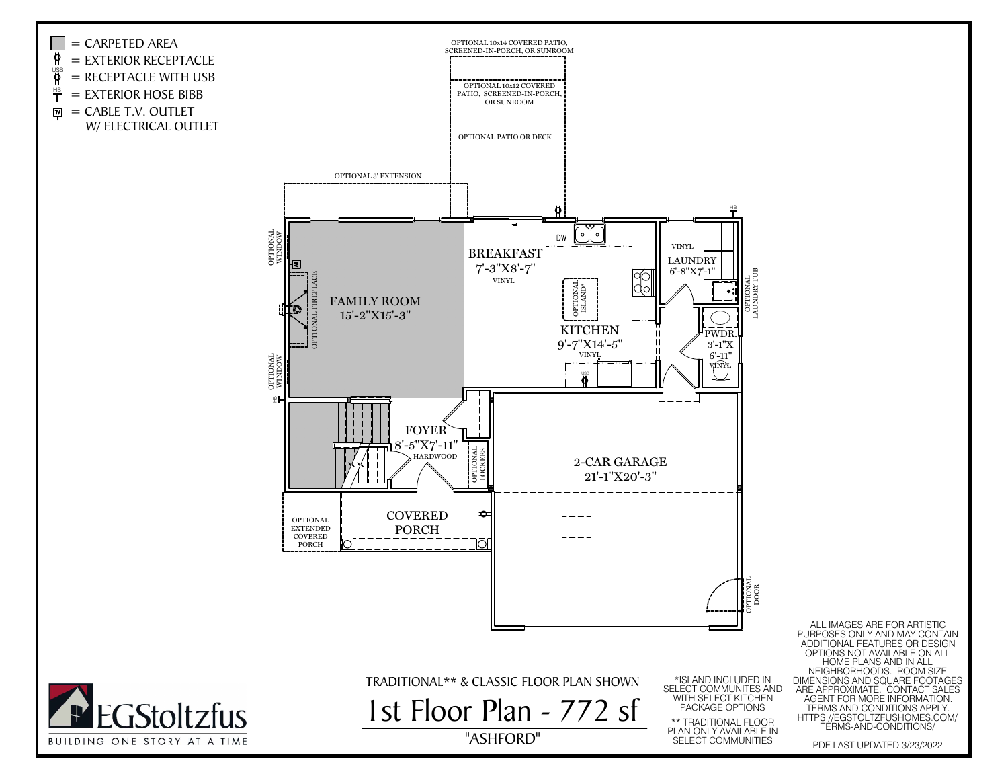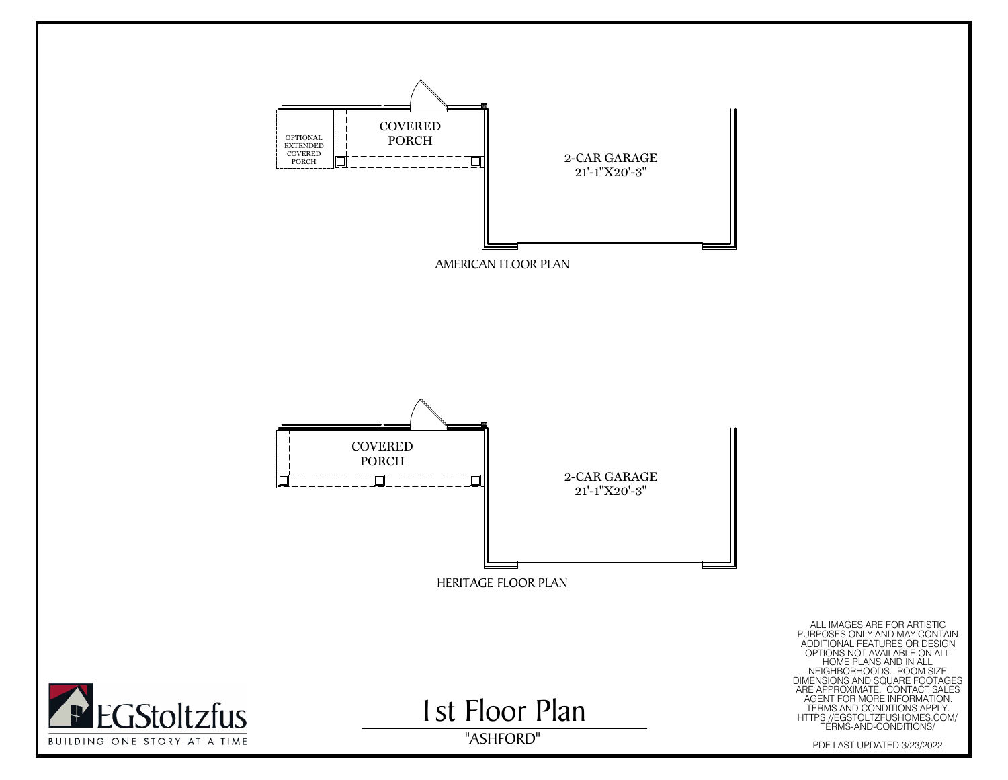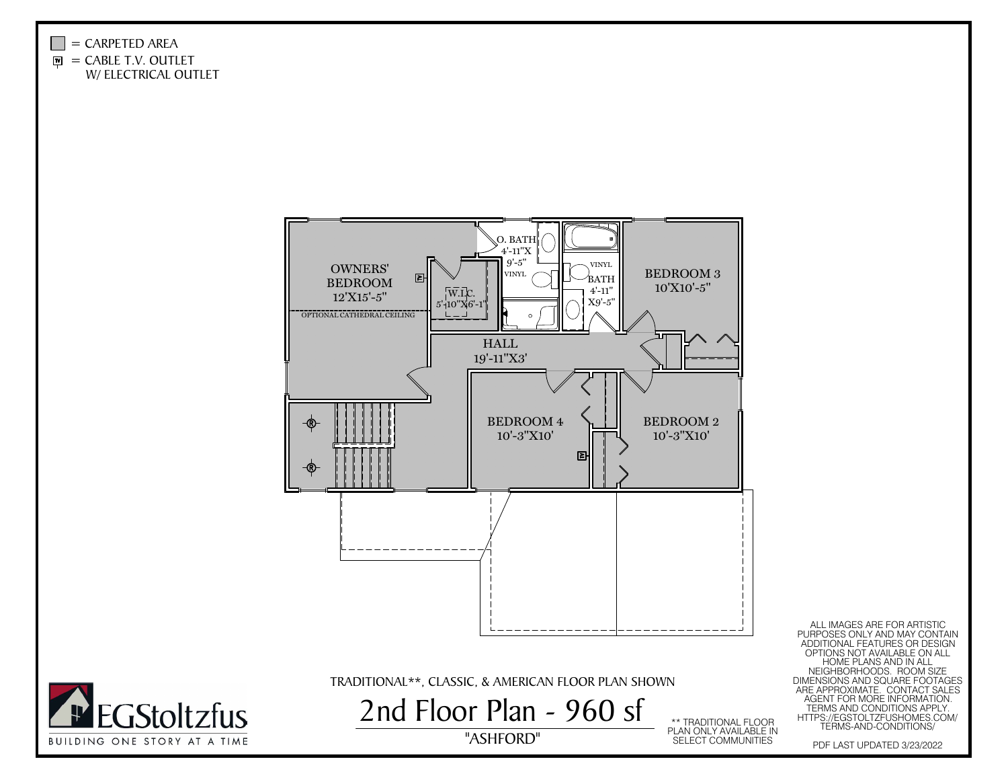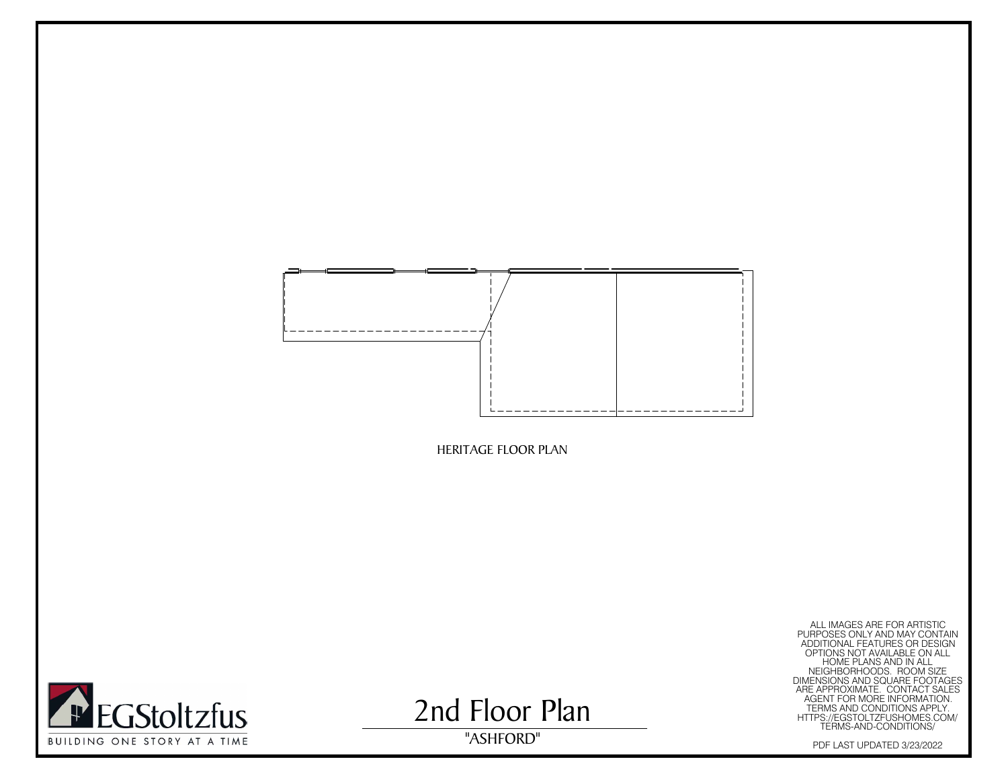



2nd Floor Plan

HERITAGE FLOOR PLAN<br>
PULLIMAGES AFE FOR AFTISTIC<br>
PULLIMAGES AFE FOR AFTISTIC<br>
PULLIMAGES AFTER AFTER CONDITION<br>
OF TODAY AND TOWN ALL AND ALL AND ALL AND ALL AND IN ALL<br>
MERISIONS AND SCUME FOR ABOUT THE AND CONDITIONS AR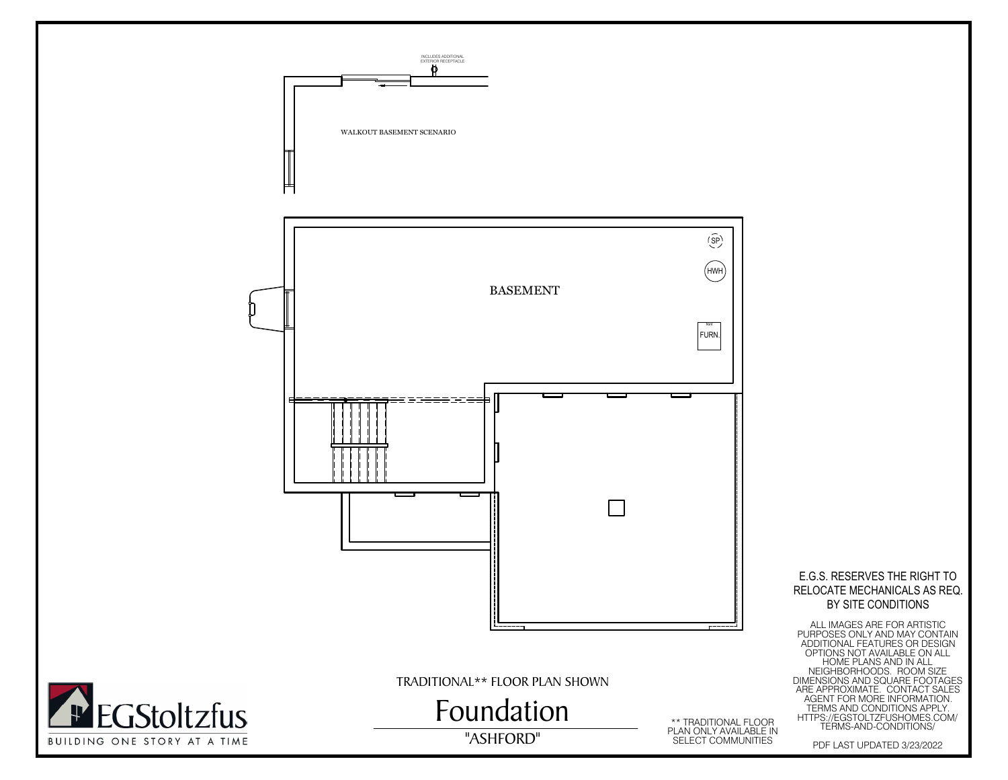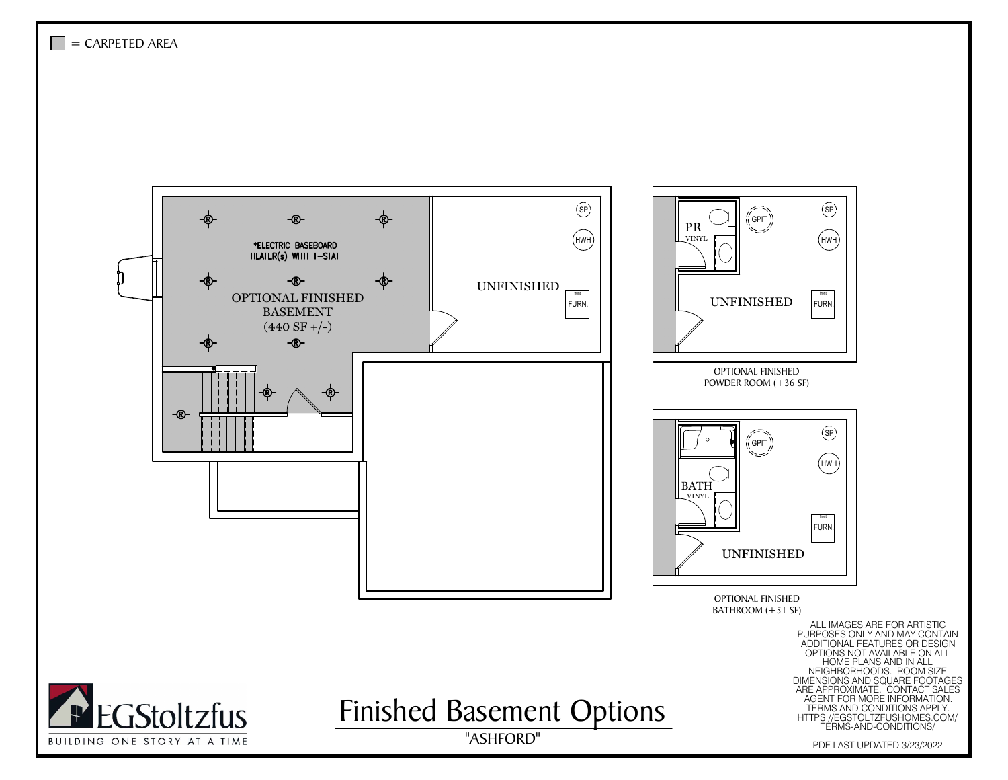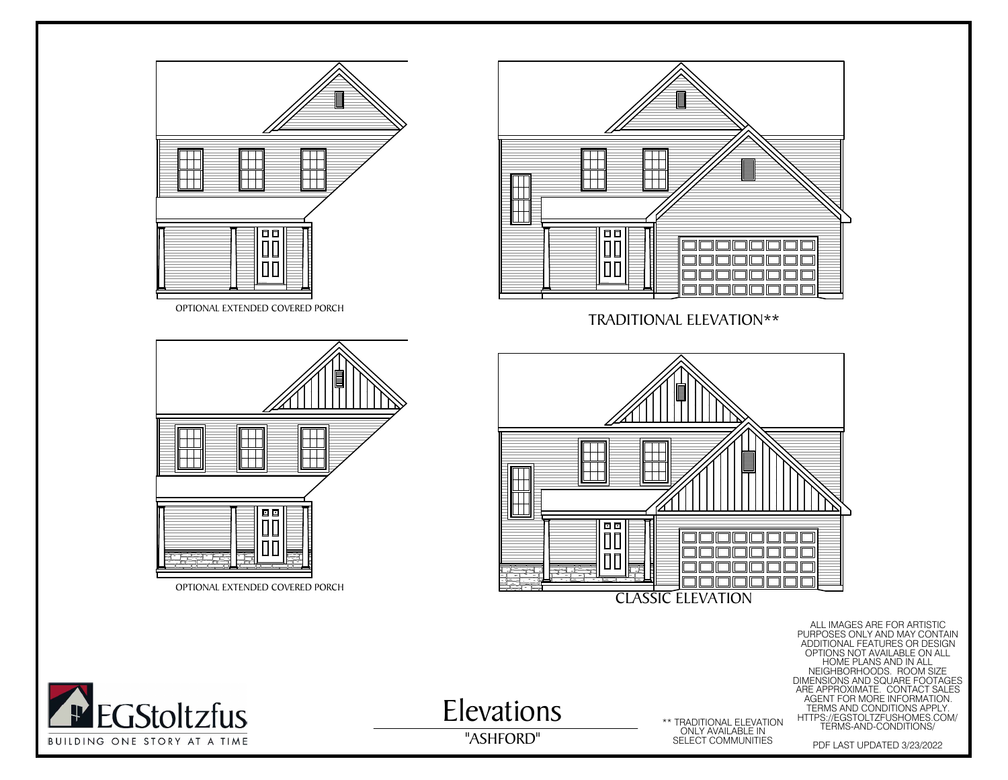



A

Elevations